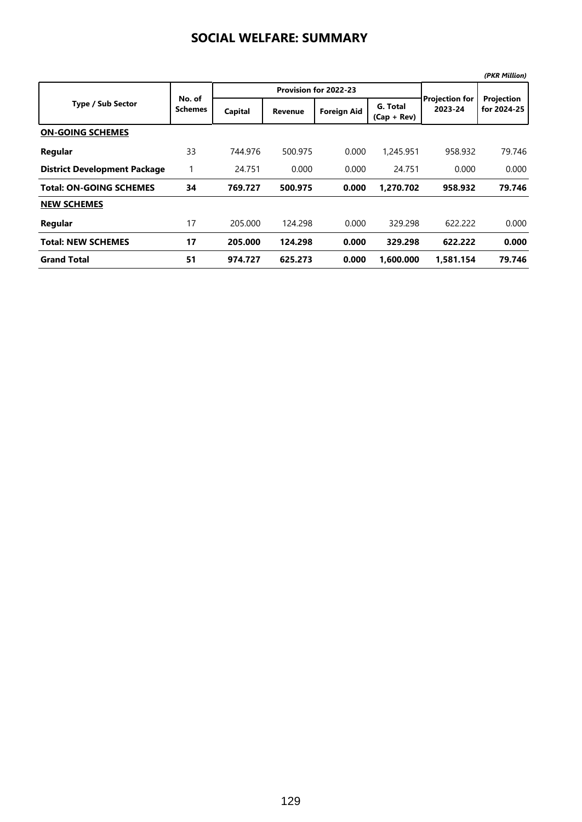|                                     |                          |         |                       |                    |                           |                           | (PKR Million)             |
|-------------------------------------|--------------------------|---------|-----------------------|--------------------|---------------------------|---------------------------|---------------------------|
|                                     |                          |         | Provision for 2022-23 |                    |                           |                           |                           |
| <b>Type / Sub Sector</b>            | No. of<br><b>Schemes</b> | Capital | <b>Revenue</b>        | <b>Foreign Aid</b> | G. Total<br>$(Cap + Rev)$ | Projection for<br>2023-24 | Projection<br>for 2024-25 |
| <b>ON-GOING SCHEMES</b>             |                          |         |                       |                    |                           |                           |                           |
| Regular                             | 33                       | 744.976 | 500.975               | 0.000              | 1,245.951                 | 958.932                   | 79.746                    |
| <b>District Development Package</b> | 1                        | 24.751  | 0.000                 | 0.000              | 24.751                    | 0.000                     | 0.000                     |
| <b>Total: ON-GOING SCHEMES</b>      | 34                       | 769.727 | 500.975               | 0.000              | 1.270.702                 | 958.932                   | 79.746                    |
| <b>NEW SCHEMES</b>                  |                          |         |                       |                    |                           |                           |                           |
| Regular                             | 17                       | 205.000 | 124.298               | 0.000              | 329.298                   | 622.222                   | 0.000                     |
| <b>Total: NEW SCHEMES</b>           | 17                       | 205.000 | 124.298               | 0.000              | 329.298                   | 622.222                   | 0.000                     |
| <b>Grand Total</b>                  | 51                       | 974.727 | 625.273               | 0.000              | 1.600.000                 | 1.581.154                 | 79.746                    |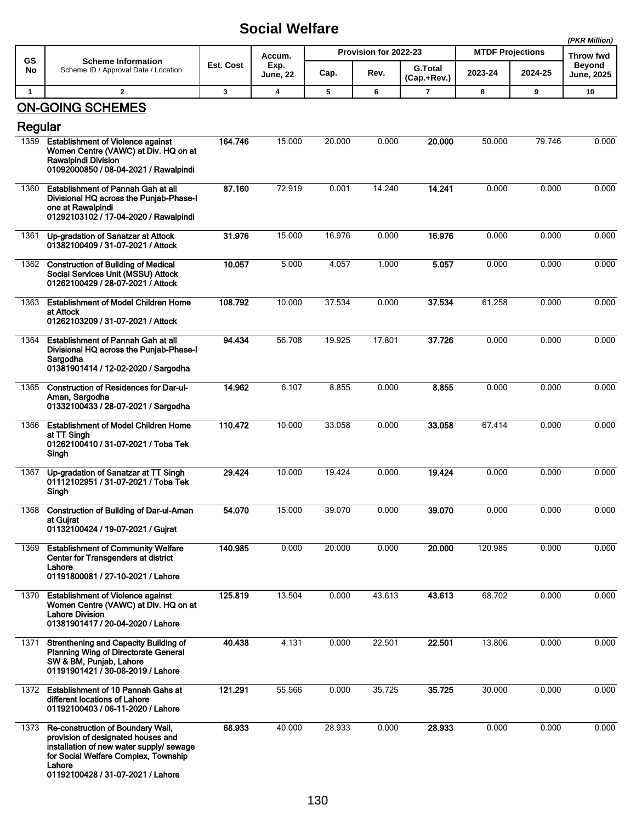|              |                                                                                                                                                                                                            |           |                  |        |                       |                               |                         |           | (PKR Million)                      |
|--------------|------------------------------------------------------------------------------------------------------------------------------------------------------------------------------------------------------------|-----------|------------------|--------|-----------------------|-------------------------------|-------------------------|-----------|------------------------------------|
| <b>GS</b>    | <b>Scheme Information</b>                                                                                                                                                                                  |           | Accum.           |        | Provision for 2022-23 |                               | <b>MTDF Projections</b> | Throw fwd |                                    |
| No           | Scheme ID / Approval Date / Location                                                                                                                                                                       | Est. Cost | Exp.<br>June, 22 | Cap.   | Rev.                  | <b>G.Total</b><br>(Cap.+Rev.) | 2023-24                 | 2024-25   | <b>Beyond</b><br><b>June, 2025</b> |
| $\mathbf{1}$ | $\overline{2}$                                                                                                                                                                                             | 3         | 4                | 5      | 6                     | $\overline{\mathbf{r}}$       | 8                       | 9         | 10                                 |
|              | <b>ON-GOING SCHEMES</b>                                                                                                                                                                                    |           |                  |        |                       |                               |                         |           |                                    |
| Regular      |                                                                                                                                                                                                            |           |                  |        |                       |                               |                         |           |                                    |
| 1359         | <b>Establishment of Violence against</b><br>Women Centre (VAWC) at Div. HQ on at<br><b>Rawalpindi Division</b><br>01092000850 / 08-04-2021 / Rawalpindi                                                    | 164.746   | 15.000           | 20.000 | 0.000                 | 20.000                        | 50.000                  | 79.746    | 0.000                              |
| 1360         | Establishment of Pannah Gah at all<br>Divisional HQ across the Punjab-Phase-I<br>one at Rawalpindi<br>01292103102 / 17-04-2020 / Rawalpindi                                                                | 87.160    | 72.919           | 0.001  | 14.240                | 14.241                        | 0.000                   | 0.000     | 0.000                              |
| 1361         | Up-gradation of Sanatzar at Attock<br>01382100409 / 31-07-2021 / Attock                                                                                                                                    | 31.976    | 15.000           | 16.976 | 0.000                 | 16.976                        | 0.000                   | 0.000     | 0.000                              |
| 1362         | <b>Construction of Building of Medical</b><br>Social Services Unit (MSSU) Attock<br>01262100429 / 28-07-2021 / Attock                                                                                      | 10.057    | 5.000            | 4.057  | 1.000                 | 5.057                         | 0.000                   | 0.000     | 0.000                              |
| 1363         | <b>Establishment of Model Children Home</b><br>at Attock<br>01262103209 / 31-07-2021 / Attock                                                                                                              | 108.792   | 10.000           | 37.534 | 0.000                 | 37.534                        | 61.258                  | 0.000     | 0.000                              |
| 1364         | Establishment of Pannah Gah at all<br>Divisional HQ across the Punjab-Phase-I<br>Sargodha<br>01381901414 / 12-02-2020 / Sargodha                                                                           | 94.434    | 56.708           | 19.925 | 17.801                | 37.726                        | 0.000                   | 0.000     | 0.000                              |
| 1365         | <b>Construction of Residences for Dar-ul-</b><br>Aman, Sargodha<br>01332100433 / 28-07-2021 / Sargodha                                                                                                     | 14.962    | 6.107            | 8.855  | 0.000                 | 8.855                         | 0.000                   | 0.000     | 0.000                              |
| 1366         | <b>Establishment of Model Children Home</b><br>at TT Singh<br>01262100410 / 31-07-2021 / Toba Tek<br>Singh                                                                                                 | 110.472   | 10.000           | 33.058 | 0.000                 | 33.058                        | 67.414                  | 0.000     | 0.000                              |
| 1367         | Up-gradation of Sanatzar at TT Singh<br>01112102951 / 31-07-2021 / Toba Tek<br>Singh                                                                                                                       | 29.424    | 10.000           | 19.424 | 0.000                 | 19.424                        | 0.000                   | 0.000     | 0.000                              |
| 1368         | Construction of Building of Dar-ul-Aman<br>at Gujrat<br>01132100424 / 19-07-2021 / Gujrat                                                                                                                  | 54.070    | 15.000           | 39.070 | 0.000                 | 39.070                        | 0.000                   | 0.000     | 0.000                              |
| 1369         | <b>Establishment of Community Welfare</b><br>Center for Transgenders at district<br>Lahore<br>01191800081 / 27-10-2021 / Lahore                                                                            | 140.985   | 0.000            | 20.000 | 0.000                 | 20.000                        | 120.985                 | 0.000     | 0.000                              |
| 1370         | <b>Establishment of Violence against</b><br>Women Centre (VAWC) at Div. HQ on at<br><b>Lahore Division</b><br>01381901417 / 20-04-2020 / Lahore                                                            | 125.819   | 13.504           | 0.000  | 43.613                | 43.613                        | 68.702                  | 0.000     | 0.000                              |
| 1371         | Strenthening and Capacity Building of<br><b>Planning Wing of Directorate General</b><br>SW & BM, Punjab, Lahore<br>01191901421 / 30-08-2019 / Lahore                                                       | 40.438    | 4.131            | 0.000  | 22.501                | 22.501                        | 13.806                  | 0.000     | 0.000                              |
| 1372         | Establishment of 10 Pannah Gahs at<br>different locations of Lahore<br>01192100403 / 06-11-2020 / Lahore                                                                                                   | 121.291   | 55.566           | 0.000  | 35.725                | 35.725                        | 30.000                  | 0.000     | 0.000                              |
| 1373         | Re-construction of Boundary Wall,<br>provision of designated houses and<br>installation of new water supply/ sewage<br>for Social Welfare Complex, Township<br>Lahore<br>01192100428 / 31-07-2021 / Lahore | 68.933    | 40.000           | 28.933 | 0.000                 | 28.933                        | 0.000                   | 0.000     | 0.000                              |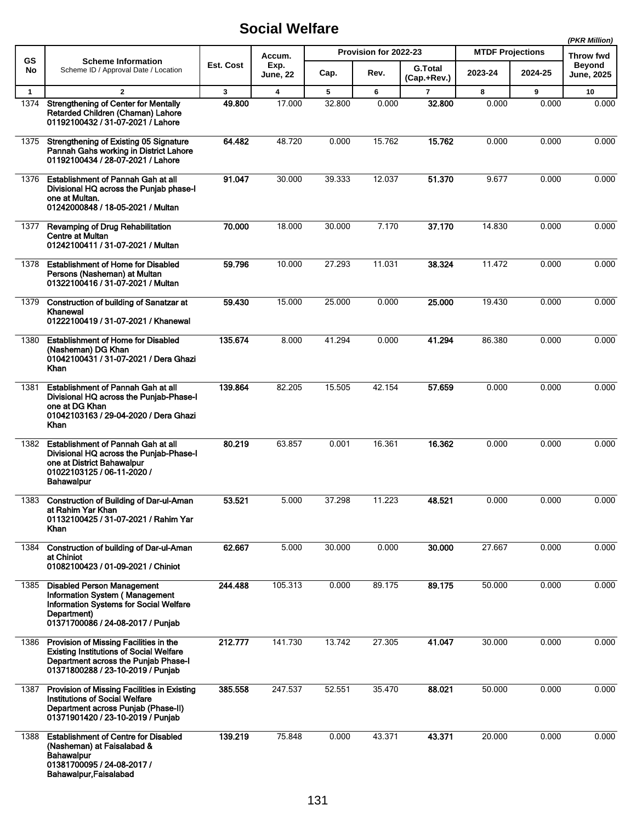|              |                                                                                                                                                                          |         |                         | (PKR Million)  |                       |                               |         |                         |                   |                            |
|--------------|--------------------------------------------------------------------------------------------------------------------------------------------------------------------------|---------|-------------------------|----------------|-----------------------|-------------------------------|---------|-------------------------|-------------------|----------------------------|
| GS           | <b>Scheme Information</b>                                                                                                                                                |         | Est. Cost               | Accum.<br>Exp. | Provision for 2022-23 |                               |         | <b>MTDF Projections</b> |                   | Throw fwd<br><b>Beyond</b> |
| No           | Scheme ID / Approval Date / Location                                                                                                                                     |         | <b>June, 22</b>         | Cap.           | Rev.                  | <b>G.Total</b><br>(Cap.+Rev.) | 2023-24 | 2024-25                 | <b>June, 2025</b> |                            |
| $\mathbf{1}$ | $\overline{2}$                                                                                                                                                           | 3       | $\overline{\mathbf{4}}$ | 5              | 6                     | $\overline{7}$                | 8       | 9                       | 10                |                            |
| 1374         | <b>Strengthening of Center for Mentally</b><br>Retarded Children (Chaman) Lahore<br>01192100432 / 31-07-2021 / Lahore                                                    | 49.800  | 17.000                  | 32.800         | 0.000                 | 32.800                        | 0.000   | 0.000                   | 0.000             |                            |
| 1375         | Strengthening of Existing 05 Signature<br>Pannah Gahs working in District Lahore<br>01192100434 / 28-07-2021 / Lahore                                                    | 64.482  | 48.720                  | 0.000          | 15.762                | 15.762                        | 0.000   | 0.000                   | 0.000             |                            |
| 1376         | <b>Establishment of Pannah Gah at all</b><br>Divisional HQ across the Punjab phase-I<br>one at Multan.<br>01242000848 / 18-05-2021 / Multan                              | 91.047  | 30.000                  | 39.333         | 12.037                | 51.370                        | 9.677   | 0.000                   | 0.000             |                            |
| 1377         | Revamping of Drug Rehabilitation<br><b>Centre at Multan</b><br>01242100411 / 31-07-2021 / Multan                                                                         | 70.000  | 18.000                  | 30.000         | 7.170                 | 37.170                        | 14.830  | 0.000                   | 0.000             |                            |
| 1378         | <b>Establishment of Home for Disabled</b><br>Persons (Nasheman) at Multan<br>01322100416 / 31-07-2021 / Multan                                                           | 59.796  | 10.000                  | 27.293         | 11.031                | 38.324                        | 11.472  | 0.000                   | 0.000             |                            |
| 1379         | <b>Construction of building of Sanatzar at</b><br>Khanewal<br>01222100419 / 31-07-2021 / Khanewal                                                                        | 59.430  | 15.000                  | 25.000         | 0.000                 | 25.000                        | 19.430  | 0.000                   | 0.000             |                            |
| 1380         | <b>Establishment of Home for Disabled</b><br>(Nasheman) DG Khan<br>01042100431 / 31-07-2021 / Dera Ghazi<br>Khan                                                         | 135.674 | 8.000                   | 41.294         | 0.000                 | 41.294                        | 86.380  | 0.000                   | 0.000             |                            |
| 1381         | <b>Establishment of Pannah Gah at all</b><br>Divisional HQ across the Punjab-Phase-I<br>one at DG Khan<br>01042103163 / 29-04-2020 / Dera Ghazi<br>Khan                  | 139.864 | 82.205                  | 15.505         | 42.154                | 57.659                        | 0.000   | 0.000                   | 0.000             |                            |
| 1382         | <b>Establishment of Pannah Gah at all</b><br>Divisional HQ across the Punjab-Phase-I<br>one at District Bahawalpur<br>01022103125 / 06-11-2020 /<br><b>Bahawalpur</b>    | 80.219  | 63.857                  | 0.001          | 16.361                | 16.362                        | 0.000   | 0.000                   | 0.000             |                            |
| 1383         | <b>Construction of Building of Dar-ul-Aman</b><br>at Rahim Yar Khan<br>01132100425 / 31-07-2021 / Rahim Yar<br>Khan                                                      | 53.521  | 5.000                   | 37.298         | 11.223                | 48.521                        | 0.000   | 0.000                   | 0.000             |                            |
| 1384         | Construction of building of Dar-ul-Aman<br>at Chiniot<br>01082100423 / 01-09-2021 / Chiniot                                                                              | 62.667  | 5.000                   | 30.000         | 0.000                 | 30.000                        | 27.667  | 0.000                   | 0.000             |                            |
| 1385         | <b>Disabled Person Management</b><br>Information System (Management<br><b>Information Systems for Social Welfare</b><br>Department)<br>01371700086 / 24-08-2017 / Punjab | 244.488 | 105.313                 | 0.000          | 89.175                | 89.175                        | 50.000  | 0.000                   | 0.000             |                            |
| 1386         | Provision of Missing Facilities in the<br><b>Existing Institutions of Social Welfare</b><br>Department across the Punjab Phase-I<br>01371800288 / 23-10-2019 / Punjab    | 212.777 | 141.730                 | 13.742         | 27.305                | 41.047                        | 30.000  | 0.000                   | 0.000             |                            |
| 1387         | Provision of Missing Facilities in Existing<br><b>Institutions of Social Welfare</b><br>Department across Punjab (Phase-II)<br>01371901420 / 23-10-2019 / Punjab         | 385.558 | 247.537                 | 52.551         | 35.470                | 88.021                        | 50.000  | 0.000                   | 0.000             |                            |
| 1388         | <b>Establishment of Centre for Disabled</b><br>(Nasheman) at Faisalabad &<br>Bahawalpur<br>01381700095 / 24-08-2017 /<br>Bahawalpur, Faisalabad                          | 139.219 | 75.848                  | 0.000          | 43.371                | 43.371                        | 20.000  | 0.000                   | 0.000             |                            |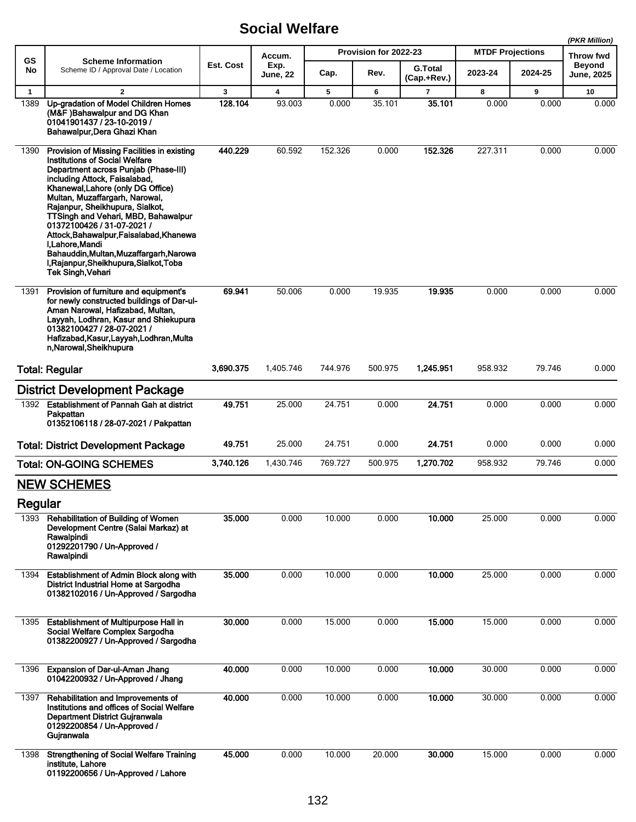|              |                                                                                                                                                                                                                                                                                                                                                                                                                                                                                                                      |           |                  |         |                       |                               |                         |                  | (PKR Million)               |
|--------------|----------------------------------------------------------------------------------------------------------------------------------------------------------------------------------------------------------------------------------------------------------------------------------------------------------------------------------------------------------------------------------------------------------------------------------------------------------------------------------------------------------------------|-----------|------------------|---------|-----------------------|-------------------------------|-------------------------|------------------|-----------------------------|
| GS           | <b>Scheme Information</b>                                                                                                                                                                                                                                                                                                                                                                                                                                                                                            |           | Accum.           |         | Provision for 2022-23 |                               | <b>MTDF Projections</b> | <b>Throw fwd</b> |                             |
| No           | Scheme ID / Approval Date / Location                                                                                                                                                                                                                                                                                                                                                                                                                                                                                 | Est. Cost | Exp.<br>June, 22 | Cap.    | Rev.                  | <b>G.Total</b><br>(Cap.+Rev.) | 2023-24                 | 2024-25          | <b>Beyond</b><br>June, 2025 |
| $\mathbf{1}$ | $\mathbf{2}$                                                                                                                                                                                                                                                                                                                                                                                                                                                                                                         | 3         | 4                | 5       | 6                     | 7                             | 8                       | 9                | 10                          |
| 1389         | Up-gradation of Model Children Homes<br>(M&F)Bahawalpur and DG Khan<br>01041901437 / 23-10-2019 /<br>Bahawalpur, Dera Ghazi Khan                                                                                                                                                                                                                                                                                                                                                                                     | 128.104   | 93.003           | 0.000   | 35.101                | 35.101                        | 0.000                   | 0.000            | 0.000                       |
| 1390         | Provision of Missing Facilities in existing<br><b>Institutions of Social Welfare</b><br>Department across Punjab (Phase-III)<br>including Attock, Faisalabad,<br>Khanewal, Lahore (only DG Office)<br>Multan, Muzaffargarh, Narowal,<br>Rajanpur, Sheikhupura, Sialkot,<br>TTSingh and Vehari, MBD, Bahawalpur<br>01372100426 / 31-07-2021 /<br>Attock, Bahawalpur, Faisalabad, Khanewa<br>I Lahore Mandi<br>Bahauddin, Multan, Muzaffargarh, Narowa<br>I, Rajanpur, Sheikhupura, Sialkot, Toba<br>Tek Singh, Vehari | 440.229   | 60.592           | 152.326 | 0.000                 | 152.326                       | 227.311                 | 0.000            | 0.000                       |
| 1391         | Provision of furniture and equipment's<br>for newly constructed buildings of Dar-ul-<br>Aman Narowal, Hafizabad, Multan,<br>Layyah, Lodhran, Kasur and Shiekupura<br>01382100427 / 28-07-2021 /<br>Hafizabad, Kasur, Layyah, Lodhran, Multa<br>n, Narowal, Sheikhupura                                                                                                                                                                                                                                               | 69.941    | 50.006           | 0.000   | 19.935                | 19.935                        | 0.000                   | 0.000            | 0.000                       |
|              | <b>Total: Regular</b>                                                                                                                                                                                                                                                                                                                                                                                                                                                                                                | 3,690.375 | 1,405.746        | 744.976 | 500.975               | 1,245.951                     | 958.932                 | 79.746           | 0.000                       |
|              | <b>District Development Package</b>                                                                                                                                                                                                                                                                                                                                                                                                                                                                                  |           |                  |         |                       |                               |                         |                  |                             |
| 1392         | <b>Establishment of Pannah Gah at district</b><br>Pakpattan<br>01352106118 / 28-07-2021 / Pakpattan                                                                                                                                                                                                                                                                                                                                                                                                                  | 49.751    | 25.000           | 24.751  | 0.000                 | 24.751                        | 0.000                   | 0.000            | 0.000                       |
|              | <b>Total: District Development Package</b>                                                                                                                                                                                                                                                                                                                                                                                                                                                                           | 49.751    | 25.000           | 24.751  | 0.000                 | 24.751                        | 0.000                   | 0.000            | 0.000                       |
|              | <b>Total: ON-GOING SCHEMES</b>                                                                                                                                                                                                                                                                                                                                                                                                                                                                                       | 3,740.126 | 1,430.746        | 769.727 | 500.975               | 1,270.702                     | 958.932                 | 79.746           | 0.000                       |
|              | <b>NEW SCHEMES</b>                                                                                                                                                                                                                                                                                                                                                                                                                                                                                                   |           |                  |         |                       |                               |                         |                  |                             |
| Regular      |                                                                                                                                                                                                                                                                                                                                                                                                                                                                                                                      |           |                  |         |                       |                               |                         |                  |                             |
| 1393         | Rehabilitation of Building of Women<br>Development Centre (Salai Markaz) at<br>Rawalpindi<br>01292201790 / Un-Approved /<br>Rawalpindi                                                                                                                                                                                                                                                                                                                                                                               | 35.000    | 0.000            | 10.000  | 0.000                 | 10.000                        | 25.000                  | 0.000            | 0.000                       |
| 1394         | Establishment of Admin Block along with<br>District Industrial Home at Sargodha<br>01382102016 / Un-Approved / Sargodha                                                                                                                                                                                                                                                                                                                                                                                              | 35.000    | 0.000            | 10.000  | 0.000                 | 10.000                        | 25.000                  | 0.000            | 0.000                       |
| 1395         | <b>Establishment of Multipurpose Hall in</b><br>Social Welfare Complex Sargodha<br>01382200927 / Un-Approved / Sargodha                                                                                                                                                                                                                                                                                                                                                                                              | 30.000    | 0.000            | 15.000  | 0.000                 | 15.000                        | 15.000                  | 0.000            | 0.000                       |
| 1396         | <b>Expansion of Dar-ul-Aman Jhang</b><br>01042200932 / Un-Approved / Jhang                                                                                                                                                                                                                                                                                                                                                                                                                                           | 40.000    | 0.000            | 10.000  | 0.000                 | 10.000                        | 30.000                  | 0.000            | 0.000                       |
| 1397         | Rehabilitation and Improvements of<br>Institutions and offices of Social Welfare<br>Department District Gujranwala<br>01292200854 / Un-Approved /<br>Gujranwala                                                                                                                                                                                                                                                                                                                                                      | 40.000    | 0.000            | 10.000  | 0.000                 | 10.000                        | 30.000                  | 0.000            | 0.000                       |
| 1398         | <b>Strengthening of Social Welfare Training</b><br>institute, Lahore<br>01192200656 / Un-Approved / Lahore                                                                                                                                                                                                                                                                                                                                                                                                           | 45.000    | 0.000            | 10.000  | 20.000                | 30.000                        | 15.000                  | 0.000            | 0.000                       |